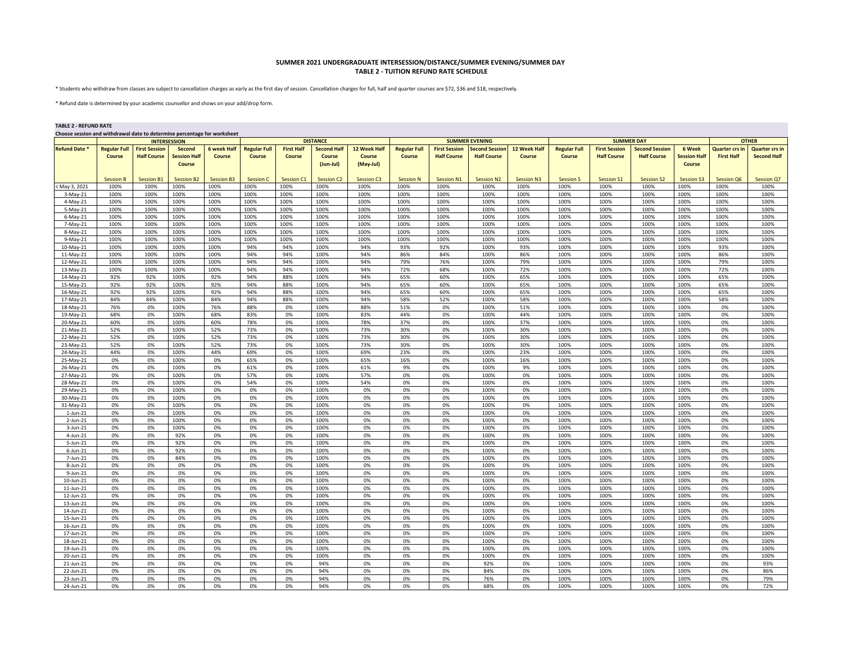## **SUMMER 2021 UNDERGRADUATE INTERSESSION/DISTANCE/SUMMER EVENING/SUMMER DAY TABLE 2 - TUITION REFUND RATE SCHEDULE**

\* Students who withdraw from classes are subject to cancellation charges as early as the first day of session. Cancellation charges for full, half and quarter courses are \$72, \$36 and \$18, respectively.

\* Refund date is determined by your academic counsellor and shows on your add/drop form.

## **TABLE 2 - REFUND RATE**

| Choose session and withdrawal date to determine percentage for worksheet |                     |                      |                     |                    |                     |                   |                    |                       |                     |                      |                       |                   |                     |                      |                       |                     |                       |                       |  |
|--------------------------------------------------------------------------|---------------------|----------------------|---------------------|--------------------|---------------------|-------------------|--------------------|-----------------------|---------------------|----------------------|-----------------------|-------------------|---------------------|----------------------|-----------------------|---------------------|-----------------------|-----------------------|--|
|                                                                          | <b>INTERSESSION</b> |                      |                     | <b>DISTANCE</b>    |                     |                   |                    | <b>SUMMER EVENING</b> |                     |                      |                       | <b>SUMMER DAY</b> |                     |                      |                       | <b>OTHER</b>        |                       |                       |  |
| <b>Refund Date *</b>                                                     | <b>Regular Full</b> | <b>First Session</b> | <b>Second</b>       | <b>6 week Half</b> | <b>Regular Full</b> | <b>First Half</b> | <b>Second Half</b> | 12 Week Half          | <b>Regular Full</b> | <b>First Session</b> | <b>Second Session</b> | 12 Week Half      | <b>Regular Full</b> | <b>First Session</b> | <b>Second Session</b> | 6 Week              | <b>Quarter crs in</b> | <b>Quarter crs in</b> |  |
|                                                                          | Course              | <b>Half Course</b>   | <b>Session Half</b> | Course             | Course              | Course            | Course             | Course                | Course              | <b>Half Course</b>   | <b>Half Course</b>    | <b>Course</b>     | Course              | <b>Half Course</b>   | <b>Half Course</b>    | <b>Session Half</b> | <b>First Half</b>     | <b>Second Half</b>    |  |
|                                                                          |                     |                      | <b>Course</b>       |                    |                     |                   | (Jun-Jul)          | (May-Jul)             |                     |                      |                       |                   |                     |                      |                       | Course              |                       |                       |  |
|                                                                          |                     |                      |                     |                    |                     |                   |                    |                       |                     |                      |                       |                   |                     |                      |                       |                     |                       |                       |  |
|                                                                          | <b>Session B</b>    | <b>Session B1</b>    | <b>Session B2</b>   | <b>Session B3</b>  | <b>Session C</b>    | <b>Session C1</b> | <b>Session C2</b>  | <b>Session C3</b>     | <b>Session N</b>    | Session N1           | <b>Session N2</b>     | <b>Session N3</b> | <b>Session S</b>    | <b>Session S1</b>    | <b>Session S2</b>     | <b>Session S3</b>   | <b>Session Q6</b>     | Session Q7            |  |
| May 3, 2021                                                              | 100%                | 100%                 | 100%                | 100%               | 100%                | 100%              | 100%               | 100%                  | 100%                | 100%                 | 100%                  | 100%              | 100%                | 100%                 | 100%                  | 100%                | 100%                  | 100%                  |  |
| $3-May-21$                                                               | 100%                | 100%                 | 100%                | 100%               | 100%                | 100%              | 100%               | 100%                  | 100%                | 100%                 | 100%                  | 100%              | 100%                | 100%                 | 100%                  | 100%                | 100%                  | 100%                  |  |
| $4$ -May-21                                                              | 100%                | 100%                 | 100%                | 100%               | 100%                | 100%              | 100%               | 100%                  | 100%                | 100%                 | 100%                  | 100%              | 100%                | 100%                 | 100%                  | 100%                | 100%                  | 100%                  |  |
| $5-May-21$                                                               | 100%                | 100%                 | 100%                | 100%               | 100%                | 100%              | 100%               | 100%                  | 100%                | 100%                 | 100%                  | 100%              | 100%                | 100%                 | 100%                  | 100%                | 100%                  | 100%                  |  |
| $6$ -May-21                                                              | 100%                | 100%                 | 100%                | 100%               | 100%                | 100%              | 100%               | 100%                  | 100%                | 100%                 | 100%                  | 100%              | 100%                | 100%                 | 100%                  | 100%                | 100%                  | 100%                  |  |
| 7-May-21                                                                 | 100%                | 100%                 | 100%                | 100%               | 100%                | 100%              | 100%               | 100%                  | 100%                | 100%                 | 100%                  | 100%              | 100%                | 100%                 | 100%                  | 100%                | 100%                  | 100%                  |  |
| 8-May-21                                                                 | 100%                | 100%                 | 100%                | 100%               | 100%                | 100%              | 100%               | 100%                  | 100%                | 100%                 | 100%                  | 100%              | 100%                | 100%                 | 100%                  | 100%                | 100%                  | 100%                  |  |
| $9-May-21$                                                               | 100%                | 100%                 | 100%                | 100%               | 100%                | 100%              | 100%               | 100%                  | 100%                | 100%                 | 100%                  | 100%              | 100%                | 100%                 | 100%                  | 100%                | 100%                  | 100%                  |  |
| 10-May-21                                                                | 100%                | 100%                 | 100%                | 100%               | 94%                 | 94%               | 100%               | 94%                   | 93%                 | 92%                  | 100%                  | 93%               | 100%                | 100%                 | 100%                  | 100%                | 93%                   | 100%                  |  |
| 11-May-21                                                                | 100%                | 100%                 | 100%                | 100%               | 94%                 | 94%               | 100%               | 94%                   | 86%                 | 84%                  | 100%                  | 86%               | 100%                | 100%                 | 100%                  | 100%                | 86%                   | 100%                  |  |
| 12-May-21                                                                | 100%                | 100%                 | 100%                | 100%               | 94%                 | 94%               | 100%               | 94%                   | 79%                 | 76%                  | 100%                  | 79%<br>72%        | 100%                | 100%                 | 100%                  | 100%                | 79%<br>72%            | 100%                  |  |
| 13-May-21                                                                | 100%                | 100%                 | 100%                | 100%               | 94%                 | 94%               | 100%               | 94%                   | 72%                 | 68%                  | 100%                  |                   | 100%                | 100%                 | 100%                  | 100%                |                       | 100%                  |  |
| 14-May-21                                                                | 92%                 | 92%                  | 100%                | 92%                | 94%                 | 88%               | 100%               | 94%                   | 65%                 | 60%                  | 100%                  | 65%               | 100%                | 100%                 | 100%                  | 100%                | 65%                   | 100%                  |  |
| 15-May-21                                                                | 92%                 | 92%                  | 100%                | 92%                | 94%                 | 88%               | 100%               | 94%<br>94%            | 65%                 | 60%                  | 100%                  | 65%               | 100%                | 100%                 | 100%                  | 100%                | 65%                   | 100%                  |  |
| 16-May-21                                                                | 92%<br>84%          | 92%<br>84%           | 100%<br>100%        | 92%<br>84%         | 94%<br>94%          | 88%<br>88%        | 100%<br>100%       | 94%                   | 65%<br>58%          | 60%<br>52%           | 100%<br>100%          | 65%<br>58%        | 100%<br>100%        | 100%<br>100%         | 100%<br>100%          | 100%<br>100%        | 65%<br>58%            | 100%<br>100%          |  |
| 17-May-21                                                                | 76%                 | 0%                   | 100%                | 76%                | 88%                 | 0%                | 100%               | 88%                   | 51%                 | 0%                   | 100%                  | 51%               | 100%                | 100%                 | 100%                  | 100%                | 0%                    | 100%                  |  |
| 18-May-21                                                                |                     | 0%                   |                     | 68%                | 83%                 | 0%                | 100%               | 83%                   | 44%                 | 0%                   | 100%                  | 44%               | 100%                | 100%                 | 100%                  | 100%                |                       | 100%                  |  |
| 19-May-21<br>20-May-21                                                   | 68%<br>60%          | 0%                   | 100%<br>100%        | 60%                | 78%                 | 0%                | 100%               | 78%                   | 37%                 | 0%                   | 100%                  | 37%               | 100%                | 100%                 | 100%                  | 100%                | 0%<br>0%              | 100%                  |  |
| 21-May-21                                                                | 52%                 | 0%                   | 100%                | 52%                | 73%                 | 0%                | 100%               | 73%                   | 30%                 | 0%                   | 100%                  | 30%               | 100%                | 100%                 | 100%                  | 100%                | 0%                    | 100%                  |  |
| 22-May-21                                                                | 52%                 | 0%                   | 100%                | 52%                | 73%                 | 0%                | 100%               | 73%                   | 30%                 | 0%                   | 100%                  | 30%               | 100%                | 100%                 | 100%                  | 100%                | 0%                    | 100%                  |  |
| 23-May-21                                                                | 52%                 | 0%                   | 100%                | 52%                | 73%                 | 0%                | 100%               | 73%                   | 30%                 | 0%                   | 100%                  | 30%               | 100%                | 100%                 | 100%                  | 100%                | 0%                    | 100%                  |  |
| 24-May-21                                                                | 44%                 | 0%                   | 100%                | 44%                | 69%                 | 0%                | 100%               | 69%                   | 23%                 | 0%                   | 100%                  | 23%               | 100%                | 100%                 | 100%                  | 100%                | 0%                    | 100%                  |  |
| 25-May-21                                                                | 0%                  | 0%                   | 100%                | 0%                 | 65%                 | 0%                | 100%               | 65%                   | 16%                 | 0%                   | 100%                  | 16%               | 100%                | 100%                 | 100%                  | 100%                | 0%                    | 100%                  |  |
| 26-May-21                                                                | 0%                  | 0%                   | 100%                | 0%                 | 61%                 | 0%                | 100%               | 61%                   | 9%                  | 0%                   | 100%                  | 9%                | 100%                | 100%                 | 100%                  | 100%                | 0%                    | 100%                  |  |
| 27-May-21                                                                | 0%                  | 0%                   | 100%                | 0%                 | 57%                 | 0%                | 100%               | 57%                   | 0%                  | 0%                   | 100%                  | 0%                | 100%                | 100%                 | 100%                  | 100%                | 0%                    | 100%                  |  |
| 28-May-21                                                                | 0%                  | 0%                   | 100%                | 0%                 | 54%                 | 0%                | 100%               | 54%                   | 0%                  | 0%                   | 100%                  | 0%                | 100%                | 100%                 | 100%                  | 100%                | 0%                    | 100%                  |  |
| 29-May-21                                                                | 0%                  | 0%                   | 100%                | 0%                 | 0%                  | 0%                | 100%               | 0%                    | 0%                  | 0%                   | 100%                  | 0%                | 100%                | 100%                 | 100%                  | 100%                | 0%                    | 100%                  |  |
| 30-May-21                                                                | 0%                  | 0%                   | 100%                | 0%                 | 0%                  | 0%                | 100%               | 0%                    | 0%                  | 0%                   | 100%                  | 0%                | 100%                | 100%                 | 100%                  | 100%                | 0%                    | 100%                  |  |
| 31-May-21                                                                | 0%                  | 0%                   | 100%                | 0%                 | 0%                  | 0%                | 100%               | 0%                    | 0%                  | 0%                   | 100%                  | 0%                | 100%                | 100%                 | 100%                  | 100%                | 0%                    | 100%                  |  |
| $1$ -Jun-21                                                              | 0%                  | 0%                   | 100%                | 0%                 | 0%                  | 0%                | 100%               | 0%                    | 0%                  | 0%                   | 100%                  | 0%                | 100%                | 100%                 | 100%                  | 100%                | 0%                    | 100%                  |  |
| 2-Jun-21                                                                 | 0%                  | 0%                   | 100%                | 0%                 | 0%                  | 0%                | 100%               | 0%                    | 0%                  | 0%                   | 100%                  | 0%                | 100%                | 100%                 | 100%                  | 100%                | 0%                    | 100%                  |  |
| 3-Jun-21                                                                 | 0%                  | 0%                   | 100%                | 0%                 | 0%                  | 0%                | 100%               | 0%                    | 0%                  | 0%                   | 100%                  | 0%                | 100%                | 100%                 | 100%                  | 100%                | 0%                    | 100%                  |  |
| 4-Jun-21                                                                 | 0%                  | 0%                   | 92%                 | 0%                 | 0%                  | 0%                | 100%               | 0%                    | 0%                  | 0%                   | 100%                  | 0%                | 100%                | 100%                 | 100%                  | 100%                | 0%                    | 100%                  |  |
| 5-Jun-21                                                                 | 0%                  | 0%                   | 92%                 | 0%                 | 0%                  | 0%                | 100%               | 0%                    | 0%                  | 0%                   | 100%                  | 0%                | 100%                | 100%                 | 100%                  | 100%                | 0%                    | 100%                  |  |
| $6$ -Jun-21                                                              | 0%                  | 0%                   | 92%                 | 0%                 | 0%                  | 0%                | 100%               | 0%                    | 0%                  | 0%                   | 100%                  | 0%                | 100%                | 100%                 | 100%                  | 100%                | 0%                    | 100%                  |  |
| 7-Jun-21                                                                 | 0%                  | 0%                   | 84%                 | 0%                 | 0%                  | 0%                | 100%               | 0%                    | 0%                  | 0%                   | 100%                  | 0%                | 100%                | 100%                 | 100%                  | 100%                | 0%                    | 100%                  |  |
| 8-Jun-21                                                                 | 0%                  | 0%                   | 0%                  | 0%                 | 0%                  | 0%                | 100%               | 0%                    | 0%                  | 0%                   | 100%                  | 0%                | 100%                | 100%                 | 100%                  | 100%                | 0%                    | 100%                  |  |
| 9-Jun-21                                                                 | 0%                  | 0%                   | 0%                  | 0%                 | 0%                  | 0%                | 100%               | 0%                    | 0%                  | 0%                   | 100%                  | 0%                | 100%                | 100%                 | 100%                  | 100%                | 0%                    | 100%                  |  |
| 10-Jun-21                                                                | 0%                  | 0%                   | 0%                  | 0%                 | 0%                  | 0%                | 100%               | 0%                    | 0%                  | 0%                   | 100%                  | 0%                | 100%                | 100%                 | 100%                  | 100%                | 0%                    | 100%                  |  |
| 11-Jun-21                                                                | 0%                  | 0%                   | 0%                  | 0%                 | 0%                  | 0%                | 100%               | 0%                    | 0%                  | 0%                   | 100%                  | 0%                | 100%                | 100%                 | 100%                  | 100%                | 0%                    | 100%                  |  |
| 12-Jun-21                                                                | 0%                  | 0%                   | 0%                  | 0%                 | 0%                  | 0%                | 100%               | 0%                    | 0%                  | 0%                   | 100%                  | 0%                | 100%                | 100%                 | 100%                  | 100%                | 0%                    | 100%                  |  |
| 13-Jun-21                                                                | 0%                  | 0%                   | 0%                  | 0%                 | 0%                  | 0%                | 100%               | 0%                    | 0%                  | 0%                   | 100%                  | 0%                | 100%                | 100%                 | 100%                  | 100%                | 0%                    | 100%                  |  |
| 14-Jun-21                                                                | 0%                  | 0%                   | 0%                  | 0%                 | 0%                  | 0%                | 100%               | 0%                    | 0%                  | 0%                   | 100%                  | 0%                | 100%                | 100%                 | 100%                  | 100%                | 0%                    | 100%                  |  |
| 15-Jun-21                                                                | 0%                  | 0%                   | 0%                  | 0%                 | 0%                  | 0%                | 100%               | 0%                    | 0%                  | 0%                   | 100%                  | 0%                | 100%                | 100%                 | 100%                  | 100%                | 0%                    | 100%                  |  |
| 16-Jun-21                                                                | 0%                  | 0%                   | 0%                  | 0%                 | 0%                  | 0%                | 100%               | 0%                    | 0%                  | 0%                   | 100%                  | 0%                | 100%                | 100%                 | 100%                  | 100%                | 0%                    | 100%                  |  |
| 17-Jun-21                                                                | 0%                  | 0%                   | 0%                  | 0%                 | 0%                  | 0%                | 100%               | 0%                    | 0%                  | 0%                   | 100%                  | 0%                | 100%                | 100%                 | 100%                  | 100%                | 0%                    | 100%                  |  |
| 18-Jun-21                                                                | 0%                  | 0%                   | 0%                  | 0%                 | 0%                  | 0%                | 100%               | 0%                    | 0%                  | 0%                   | 100%                  | 0%                | 100%                | 100%                 | 100%                  | 100%                | 0%                    | 100%                  |  |
| 19-Jun-21                                                                | 0%                  | 0%                   | 0%                  | 0%                 | 0%                  | 0%                | 100%               | 0%                    | 0%                  | 0%                   | 100%                  | 0%                | 100%                | 100%                 | 100%                  | 100%                | 0%                    | 100%                  |  |
| 20-Jun-21                                                                | 0%                  | 0%                   | 0%                  | 0%                 | 0%                  | 0%                | 100%               | 0%                    | 0%                  | 0%                   | 100%                  | 0%                | 100%                | 100%                 | 100%                  | 100%                | 0%                    | 100%                  |  |
| 21-Jun-21                                                                | 0%                  | 0%                   | 0%                  | 0%                 | 0%                  | 0%                | 94%                | 0%                    | 0%                  | 0%                   | 92%                   | 0%                | 100%                | 100%                 | 100%                  | 100%                | 0%                    | 93%                   |  |
| 22-Jun-21                                                                | 0%                  | 0%                   | 0%                  | 0%                 | 0%                  | 0%                | 94%                | 0%                    | 0%                  | 0%                   | 84%                   | 0%                | 100%                | 100%                 | 100%                  | 100%                | 0%                    | 86%                   |  |
| 23-Jun-21                                                                | 0%                  | 0%                   | 0%                  | 0%                 | 0%                  | 0%                | 94%                | 0%                    | 0%                  | 0%                   | 76%                   | 0%                | 100%                | 100%                 | 100%                  | 100%                | 0%                    | 79%                   |  |
| 24-Jun-21                                                                | 0%                  | 0%                   | 0%                  | 0%                 | 0%                  | 0%                | 94%                | 0%                    | 0%                  | 0%                   | 68%                   | 0%                | 100%                | 100%                 | 100%                  | 100%                | 0%                    | 72%                   |  |